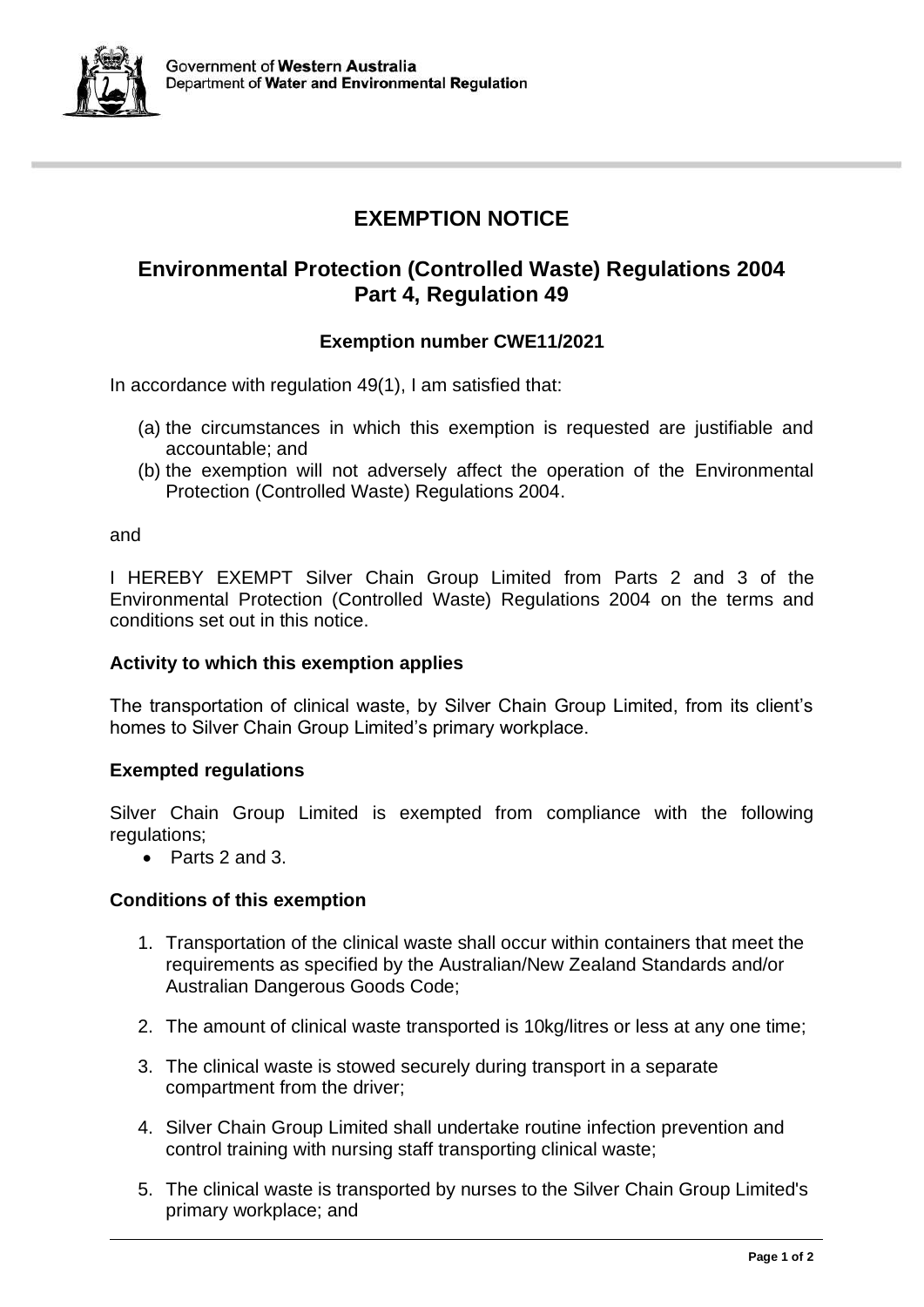

# **EXEMPTION NOTICE**

# **Environmental Protection (Controlled Waste) Regulations 2004 Part 4, Regulation 49**

## **Exemption number CWE11/2021**

In accordance with regulation 49(1), I am satisfied that:

- (a) the circumstances in which this exemption is requested are justifiable and accountable; and
- (b) the exemption will not adversely affect the operation of the Environmental Protection (Controlled Waste) Regulations 2004.

and

I HEREBY EXEMPT Silver Chain Group Limited from Parts 2 and 3 of the Environmental Protection (Controlled Waste) Regulations 2004 on the terms and conditions set out in this notice.

### **Activity to which this exemption applies**

The transportation of clinical waste, by Silver Chain Group Limited, from its client's homes to Silver Chain Group Limited's primary workplace.

### **Exempted regulations**

Silver Chain Group Limited is exempted from compliance with the following regulations;

• Parts 2 and 3.

### **Conditions of this exemption**

- 1. Transportation of the clinical waste shall occur within containers that meet the requirements as specified by the Australian/New Zealand Standards and/or Australian Dangerous Goods Code;
- 2. The amount of clinical waste transported is 10kg/litres or less at any one time;
- 3. The clinical waste is stowed securely during transport in a separate compartment from the driver;
- 4. Silver Chain Group Limited shall undertake routine infection prevention and control training with nursing staff transporting clinical waste;
- 5. The clinical waste is transported by nurses to the Silver Chain Group Limited's primary workplace; and